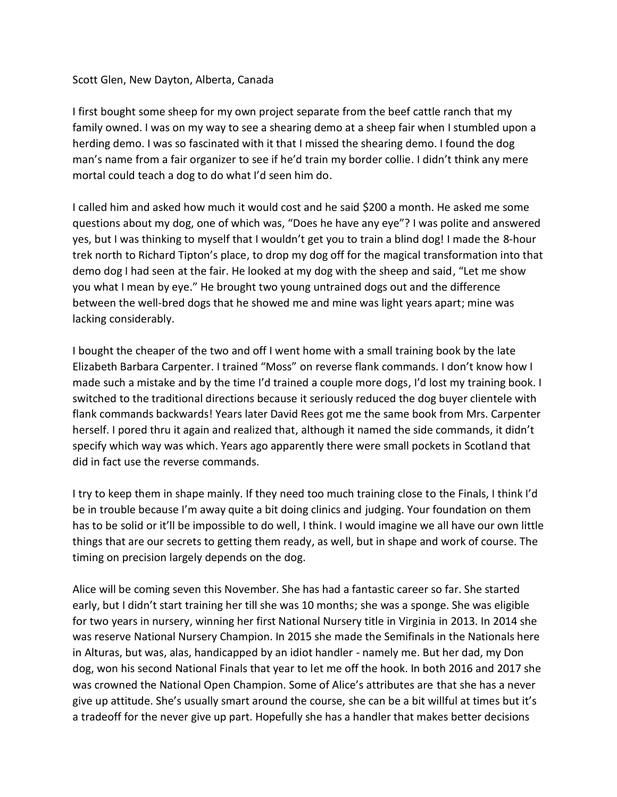## Scott Glen, New Dayton, Alberta, Canada

I first bought some sheep for my own project separate from the beef cattle ranch that my family owned. I was on my way to see a shearing demo at a sheep fair when I stumbled upon a herding demo. I was so fascinated with it that I missed the shearing demo. I found the dog man's name from a fair organizer to see if he'd train my border collie. I didn't think any mere mortal could teach a dog to do what I'd seen him do.

I called him and asked how much it would cost and he said \$200 a month. He asked me some questions about my dog, one of which was, "Does he have any eye"? I was polite and answered yes, but I was thinking to myself that I wouldn't get you to train a blind dog! I made the 8-hour trek north to Richard Tipton's place, to drop my dog off for the magical transformation into that demo dog I had seen at the fair. He looked at my dog with the sheep and said, "Let me show you what I mean by eye." He brought two young untrained dogs out and the difference between the well-bred dogs that he showed me and mine was light years apart; mine was lacking considerably.

I bought the cheaper of the two and off I went home with a small training book by the late Elizabeth Barbara Carpenter. I trained "Moss" on reverse flank commands. I don't know how I made such a mistake and by the time I'd trained a couple more dogs, I'd lost my training book. I switched to the traditional directions because it seriously reduced the dog buyer clientele with flank commands backwards! Years later David Rees got me the same book from Mrs. Carpenter herself. I pored thru it again and realized that, although it named the side commands, it didn't specify which way was which. Years ago apparently there were small pockets in Scotland that did in fact use the reverse commands.

I try to keep them in shape mainly. If they need too much training close to the Finals, I think I'd be in trouble because I'm away quite a bit doing clinics and judging. Your foundation on them has to be solid or it'll be impossible to do well, I think. I would imagine we all have our own little things that are our secrets to getting them ready, as well, but in shape and work of course. The timing on precision largely depends on the dog.

Alice will be coming seven this November. She has had a fantastic career so far. She started early, but I didn't start training her till she was 10 months; she was a sponge. She was eligible for two years in nursery, winning her first National Nursery title in Virginia in 2013. In 2014 she was reserve National Nursery Champion. In 2015 she made the Semifinals in the Nationals here in Alturas, but was, alas, handicapped by an idiot handler - namely me. But her dad, my Don dog, won his second National Finals that year to let me off the hook. In both 2016 and 2017 she was crowned the National Open Champion. Some of Alice's attributes are that she has a never give up attitude. She's usually smart around the course, she can be a bit willful at times but it's a tradeoff for the never give up part. Hopefully she has a handler that makes better decisions